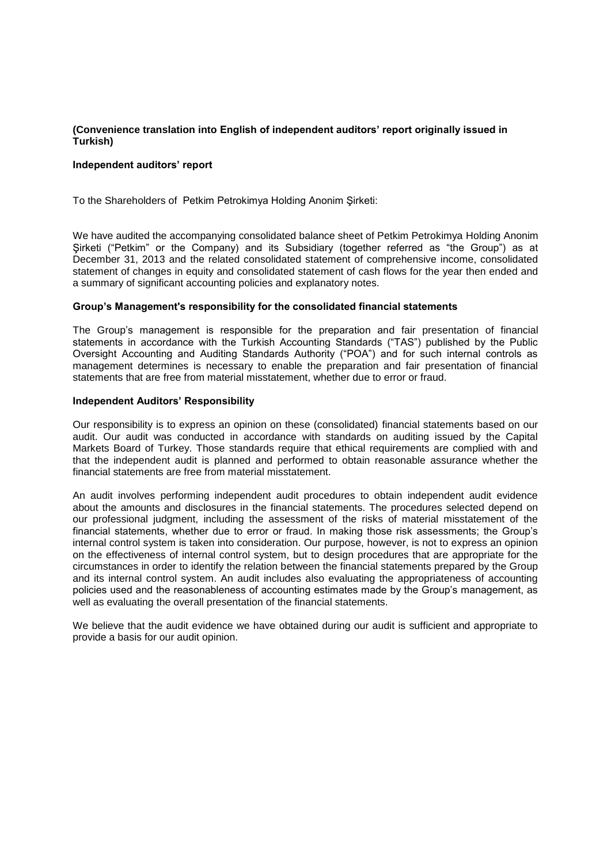# **(Convenience translation into English of independent auditors' report originally issued in Turkish)**

### **Independent auditors' report**

To the Shareholders of Petkim Petrokimya Holding Anonim Şirketi:

We have audited the accompanying consolidated balance sheet of Petkim Petrokimya Holding Anonim Şirketi ("Petkim" or the Company) and its Subsidiary (together referred as "the Group") as at December 31, 2013 and the related consolidated statement of comprehensive income, consolidated statement of changes in equity and consolidated statement of cash flows for the year then ended and a summary of significant accounting policies and explanatory notes.

#### **Group's Management's responsibility for the consolidated financial statements**

The Group's management is responsible for the preparation and fair presentation of financial statements in accordance with the Turkish Accounting Standards ("TAS") published by the Public Oversight Accounting and Auditing Standards Authority ("POA") and for such internal controls as management determines is necessary to enable the preparation and fair presentation of financial statements that are free from material misstatement, whether due to error or fraud.

#### **Independent Auditors' Responsibility**

Our responsibility is to express an opinion on these (consolidated) financial statements based on our audit. Our audit was conducted in accordance with standards on auditing issued by the Capital Markets Board of Turkey. Those standards require that ethical requirements are complied with and that the independent audit is planned and performed to obtain reasonable assurance whether the financial statements are free from material misstatement.

An audit involves performing independent audit procedures to obtain independent audit evidence about the amounts and disclosures in the financial statements. The procedures selected depend on our professional judgment, including the assessment of the risks of material misstatement of the financial statements, whether due to error or fraud. In making those risk assessments; the Group's internal control system is taken into consideration. Our purpose, however, is not to express an opinion on the effectiveness of internal control system, but to design procedures that are appropriate for the circumstances in order to identify the relation between the financial statements prepared by the Group and its internal control system. An audit includes also evaluating the appropriateness of accounting policies used and the reasonableness of accounting estimates made by the Group's management, as well as evaluating the overall presentation of the financial statements.

We believe that the audit evidence we have obtained during our audit is sufficient and appropriate to provide a basis for our audit opinion.